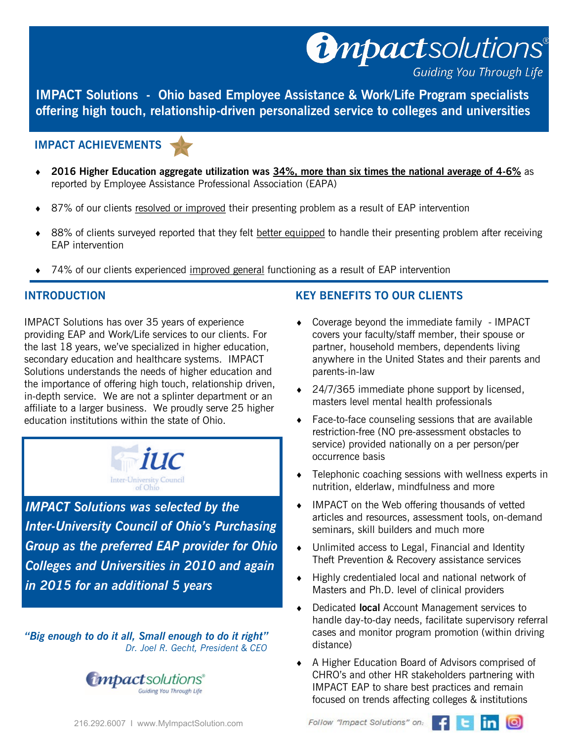**IMPACT Solutions - Ohio based Employee Assistance & Work/Life Program specialists offering high touch, relationship-driven personalized service to colleges and universities** 

#### **IMPACT ACHIEVEMENTS**



- **2016 Higher Education aggregate utilization was 34%, more than six times the national average of 4-6%** as reported by Employee Assistance Professional Association (EAPA)
- 87% of our clients resolved or improved their presenting problem as a result of EAP intervention
- 88% of clients surveyed reported that they felt better equipped to handle their presenting problem after receiving EAP intervention
- 74% of our clients experienced improved general functioning as a result of EAP intervention

### **INTRODUCTION**

IMPACT Solutions has over 35 years of experience providing EAP and Work/Life services to our clients. For the last 18 years, we've specialized in higher education, secondary education and healthcare systems. IMPACT Solutions understands the needs of higher education and the importance of offering high touch, relationship driven, in-depth service. We are not a splinter department or an affiliate to a larger business. We proudly serve 25 higher education institutions within the state of Ohio.



*IMPACT Solutions was selected by the Inter-University Council of Ohio's Purchasing Group as the preferred EAP provider for Ohio Colleges and Universities in 2010 and again in 2015 for an additional 5 years*

*"Big enough to do it all, Small enough to do it right" Dr. Joel R. Gecht, President & CEO*



# **KEY BENEFITS TO OUR CLIENTS**

 Coverage beyond the immediate family - IMPACT covers your faculty/staff member, their spouse or partner, household members, dependents living anywhere in the United States and their parents and parents-in-law

**U**npactsolutions®

**Guiding You Through Life** 

- ◆ 24/7/365 immediate phone support by licensed, masters level mental health professionals
- ◆ Face-to-face counseling sessions that are available restriction-free (NO pre-assessment obstacles to service) provided nationally on a per person/per occurrence basis
- Telephonic coaching sessions with wellness experts in nutrition, elderlaw, mindfulness and more
- ◆ IMPACT on the Web offering thousands of vetted articles and resources, assessment tools, on-demand seminars, skill builders and much more
- $\bullet$  Unlimited access to Legal, Financial and Identity Theft Prevention & Recovery assistance services
- ◆ Highly credentialed local and national network of Masters and Ph.D. level of clinical providers
- Dedicated **local** Account Management services to handle day-to-day needs, facilitate supervisory referral cases and monitor program promotion (within driving distance)
- A Higher Education Board of Advisors comprised of CHRO's and other HR stakeholders partnering with IMPACT EAP to share best practices and remain focused on trends affecting colleges & institutions